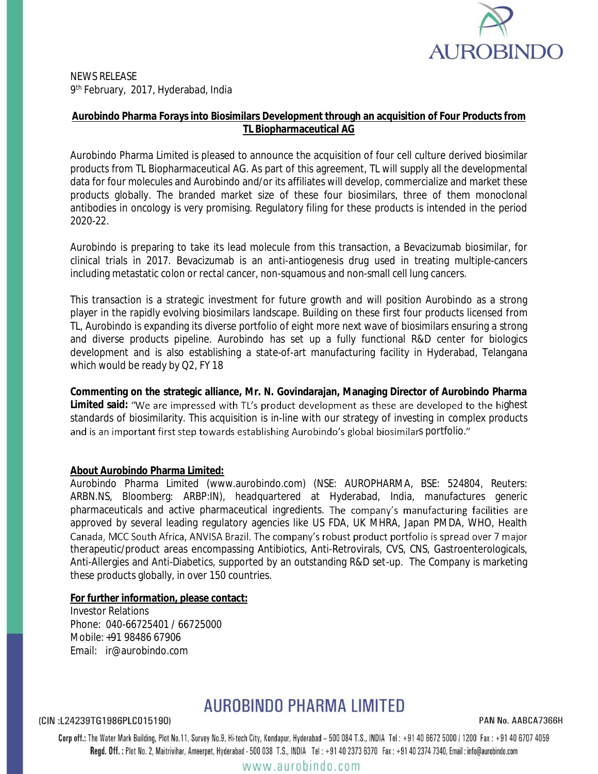

NEWS RELEASE 9 th February, 2017, Hyderabad, India

## **Aurobindo Pharma Forays into Biosimilars Development through an acquisition of Four Products from TL Biopharmaceutical AG**

Aurobindo Pharma Limited is pleased to announce the acquisition of four cell culture derived biosimilar products from TL Biopharmaceutical AG. As part of this agreement, TL will supply all the developmental data for four molecules and Aurobindo and/or its affiliates will develop, commercialize and market these products globally. The branded market size of these four biosimilars, three of them monoclonal antibodies in oncology is very promising. Regulatory filing for these products is intended in the period 2020-22.

Aurobindo is preparing to take its lead molecule from this transaction, a Bevacizumab biosimilar, for clinical trials in 2017. Bevacizumab is an anti-antiogenesis drug used in treating multiple-cancers including metastatic colon or rectal cancer, non-squamous and non-small cell lung cancers.

This transaction is a strategic investment for future growth and will position Aurobindo as a strong player in the rapidly evolving biosimilars landscape. Building on these first four products licensed from TL, Aurobindo is expanding its diverse portfolio of eight more next wave of biosimilars ensuring a strong and diverse products pipeline. Aurobindo has set up a fully functional R&D center for biologics development and is also establishing a state-of-art manufacturing facility in Hyderabad, Telangana which would be ready by Q2, FY 18

**Commenting on the strategic alliance, Mr. N. Govindarajan, Managing Director of Aurobindo Pharma**  Limited said: "We are impressed with TL's product development as these are developed to the highest standards of biosimilarity. This acquisition is in-line with our strategy of investing in complex products and is an important first step towards establishing Aurobindo's global biosimilars portfolio."

#### **About Aurobindo Pharma Limited:**

Aurobindo Pharma Limited (www.aurobindo.com) (NSE: AUROPHARMA, BSE: 524804, Reuters: ARBN.NS, Bloomberg: ARBP:IN), headquartered at Hyderabad, India, manufactures generic pharmaceuticals and active pharmaceutical ingredients. The company's manufacturing facilities are approved by several leading regulatory agencies like US FDA, UK MHRA, Japan PMDA, WHO, Health Canada, MCC South Africa, ANVISA Brazil. The company's robust product portfolio is spread over 7 major therapeutic/product areas encompassing Antibiotics, Anti-Retrovirals, CVS, CNS, Gastroenterologicals, Anti-Allergies and Anti-Diabetics, supported by an outstanding R&D set-up. The Company is marketing these products globally, in over 150 countries.

### **For further information, please contact:**

Investor Relations Phone: 040-66725401 / 66725000 Mobile: +91 98486 67906 Email: ir@aurobindo.com

# AUROBINDO PHARMA LIMITED

(CIN:L24239TG1986PLC015190)

PAN No. AABCA7366H

Corp off.: The Water Mark Building, Plot No.11, Survey No.9, Hi-tech City, Kondapur, Hyderabad - 500 084 T.S., INDIA Tel: +91 40 6672 5000 / 1200 Fax: +91 40 6707 4059 Regd. Off.: Plot No. 2, Maitrivihar, Ameerpet, Hyderabad - 500 038 T.S., INDIA Tel: +91 40 2373 6370 Fax: +91 40 2374 7340, Email: info@aurobindo.com